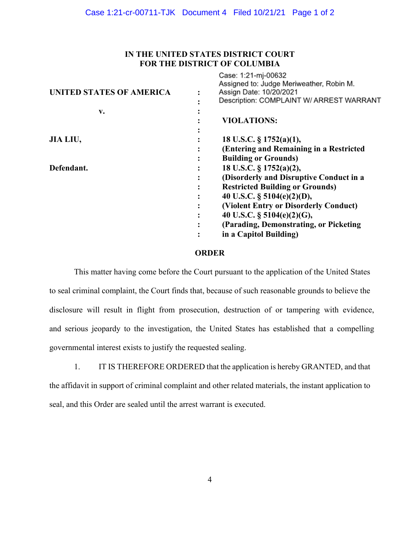## **IN THE UNITED STATES DISTRICT COURT FOR THE DISTRICT OF COLUMBIA**

 $C_{2001}$  1:21 mi $00622$ 

| <b>UNITED STATES OF AMERICA</b> | UQJU. I.Z PIII-VUUJZ<br>Assigned to: Judge Meriweather, Robin M.<br>Assign Date: 10/20/2021<br>Description: COMPLAINT W/ ARREST WARRANT |
|---------------------------------|-----------------------------------------------------------------------------------------------------------------------------------------|
| v.                              |                                                                                                                                         |
|                                 | <b>VIOLATIONS:</b>                                                                                                                      |
|                                 |                                                                                                                                         |
| JIA LIU,                        | 18 U.S.C. § 1752(a)(1),                                                                                                                 |
|                                 | (Entering and Remaining in a Restricted                                                                                                 |
|                                 | <b>Building or Grounds)</b>                                                                                                             |
| Defendant.                      | 18 U.S.C. § 1752(a)(2),                                                                                                                 |
|                                 | (Disorderly and Disruptive Conduct in a                                                                                                 |
|                                 | <b>Restricted Building or Grounds)</b>                                                                                                  |
|                                 | 40 U.S.C. § 5104(e)(2)(D),                                                                                                              |
|                                 | (Violent Entry or Disorderly Conduct)                                                                                                   |
|                                 | 40 U.S.C. $\S$ 5104(e)(2)(G),                                                                                                           |
|                                 | (Parading, Demonstrating, or Picketing)                                                                                                 |
|                                 | in a Capitol Building)                                                                                                                  |
|                                 |                                                                                                                                         |

## **ORDER**

This matter having come before the Court pursuant to the application of the United States to seal criminal complaint, the Court finds that, because of such reasonable grounds to believe the disclosure will result in flight from prosecution, destruction of or tampering with evidence, and serious jeopardy to the investigation, the United States has established that a compelling governmental interest exists to justify the requested sealing.

1. IT IS THEREFORE ORDERED that the application is hereby GRANTED, and that the affidavit in support of criminal complaint and other related materials, the instant application to seal, and this Order are sealed until the arrest warrant is executed.